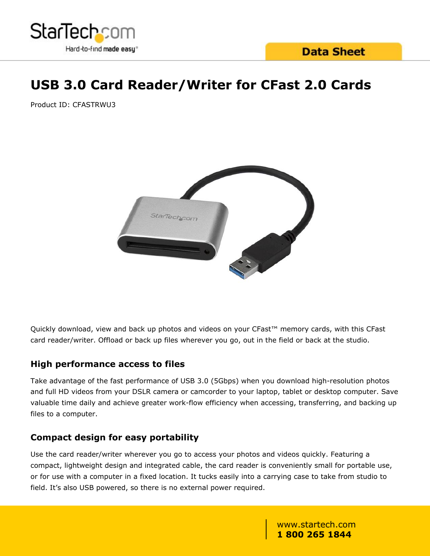

# **USB 3.0 Card Reader/Writer for CFast 2.0 Cards**

Product ID: CFASTRWU3



Quickly download, view and back up photos and videos on your CFast™ memory cards, with this CFast card reader/writer. Offload or back up files wherever you go, out in the field or back at the studio.

#### **High performance access to files**

Take advantage of the fast performance of USB 3.0 (5Gbps) when you download high-resolution photos and full HD videos from your DSLR camera or camcorder to your laptop, tablet or desktop computer. Save valuable time daily and achieve greater work-flow efficiency when accessing, transferring, and backing up files to a computer.

#### **Compact design for easy portability**

Use the card reader/writer wherever you go to access your photos and videos quickly. Featuring a compact, lightweight design and integrated cable, the card reader is conveniently small for portable use, or for use with a computer in a fixed location. It tucks easily into a carrying case to take from studio to field. It's also USB powered, so there is no external power required.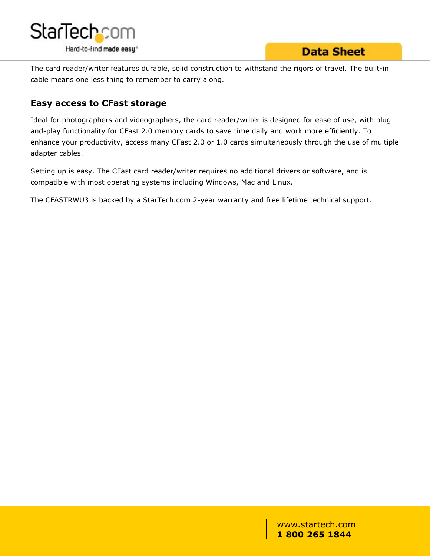

The card reader/writer features durable, solid construction to withstand the rigors of travel. The built-in cable means one less thing to remember to carry along.

#### **Easy access to CFast storage**

Ideal for photographers and videographers, the card reader/writer is designed for ease of use, with plugand-play functionality for CFast 2.0 memory cards to save time daily and work more efficiently. To enhance your productivity, access many CFast 2.0 or 1.0 cards simultaneously through the use of multiple adapter cables.

Setting up is easy. The CFast card reader/writer requires no additional drivers or software, and is compatible with most operating systems including Windows, Mac and Linux.

The CFASTRWU3 is backed by a StarTech.com 2-year warranty and free lifetime technical support.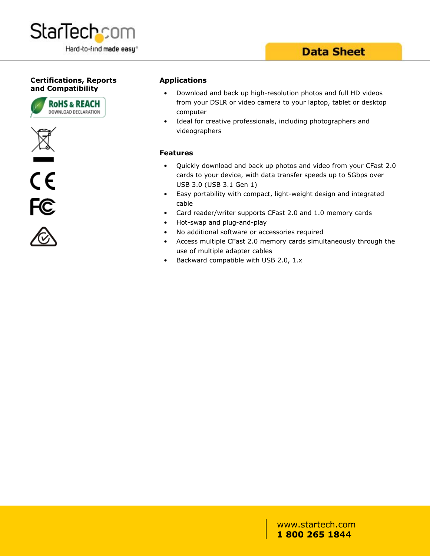

### **Data Sheet**

#### **Certifications, Reports and Compatibility**









#### **Applications**

- Download and back up high-resolution photos and full HD videos from your DSLR or video camera to your laptop, tablet or desktop computer
- Ideal for creative professionals, including photographers and videographers

#### **Features**

- Quickly download and back up photos and video from your CFast 2.0 cards to your device, with data transfer speeds up to 5Gbps over USB 3.0 (USB 3.1 Gen 1)
- Easy portability with compact, light-weight design and integrated cable that the contract of the contract of the contract of the contract of the contract of the contract of the
- Card reader/writer supports CFast 2.0 and 1.0 memory cards
- Hot-swap and plug-and-play
- No additional software or accessories required
- Access multiple CFast 2.0 memory cards simultaneously through the use of multiple adapter cables
- Backward compatible with USB 2.0, 1.x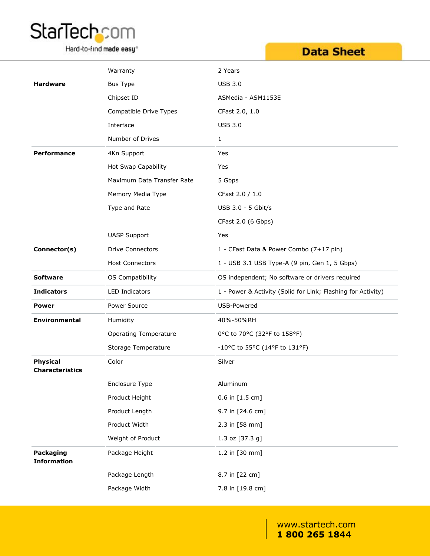

Hard-to-find made easy<sup>®</sup>

## **Data Sheet**

|                                           | Warranty                     | 2 Years                                                      |
|-------------------------------------------|------------------------------|--------------------------------------------------------------|
| <b>Hardware</b>                           | Bus Type                     | <b>USB 3.0</b>                                               |
|                                           | Chipset ID                   | ASMedia - ASM1153E                                           |
|                                           | Compatible Drive Types       | CFast 2.0, 1.0                                               |
|                                           | Interface                    | <b>USB 3.0</b>                                               |
|                                           | Number of Drives             | $\mathbf{1}$                                                 |
| Performance                               | 4Kn Support                  | Yes                                                          |
|                                           | Hot Swap Capability          | Yes                                                          |
|                                           | Maximum Data Transfer Rate   | 5 Gbps                                                       |
|                                           | Memory Media Type            | CFast 2.0 / 1.0                                              |
|                                           | Type and Rate                | USB 3.0 - 5 Gbit/s                                           |
|                                           |                              | CFast 2.0 (6 Gbps)                                           |
|                                           | <b>UASP Support</b>          | Yes                                                          |
| Connector(s)                              | <b>Drive Connectors</b>      | 1 - CFast Data & Power Combo (7+17 pin)                      |
|                                           | <b>Host Connectors</b>       | 1 - USB 3.1 USB Type-A (9 pin, Gen 1, 5 Gbps)                |
| <b>Software</b>                           | OS Compatibility             | OS independent; No software or drivers required              |
| <b>Indicators</b>                         | <b>LED Indicators</b>        | 1 - Power & Activity (Solid for Link; Flashing for Activity) |
| <b>Power</b>                              | Power Source                 | USB-Powered                                                  |
| <b>Environmental</b>                      | Humidity                     | 40%-50%RH                                                    |
|                                           | <b>Operating Temperature</b> | 0°C to 70°C (32°F to 158°F)                                  |
|                                           | Storage Temperature          | -10°C to 55°C (14°F to 131°F)                                |
| <b>Physical</b><br><b>Characteristics</b> | Color                        | Silver                                                       |
|                                           | Enclosure Type               | Aluminum                                                     |
|                                           | Product Height               | 0.6 in [1.5 cm]                                              |
|                                           | Product Length               | 9.7 in [24.6 cm]                                             |
|                                           | Product Width                | 2.3 in [58 mm]                                               |
|                                           | Weight of Product            | 1.3 oz [37.3 g]                                              |
| Packaging<br><b>Information</b>           | Package Height               | 1.2 in [30 mm]                                               |
|                                           | Package Length               | 8.7 in [22 cm]                                               |
|                                           | Package Width                | 7.8 in [19.8 cm]                                             |
|                                           |                              |                                                              |